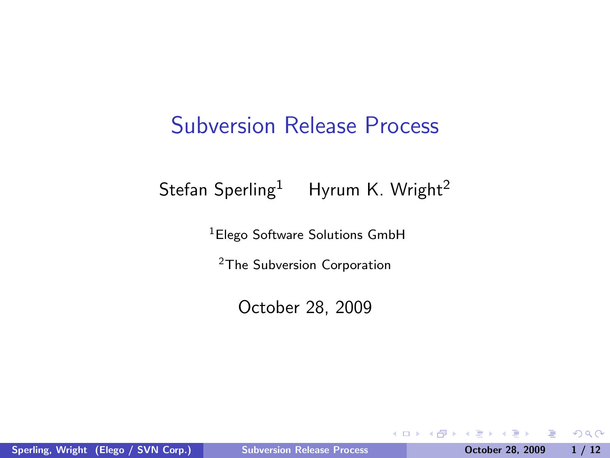### Subversion Release Process

#### Stefan Sperling<sup>1</sup> Hyrum K. Wright<sup>2</sup>

<sup>1</sup>Elego Software Solutions GmbH

<sup>2</sup>The Subversion Corporation

October 28, 2009

Sperling, Wright (Elego / SVN Corp.) [Subversion Release Process](#page-11-0) Corp. 00 October 28, 2009 1 / 12

4日)

<span id="page-0-0"></span>Þ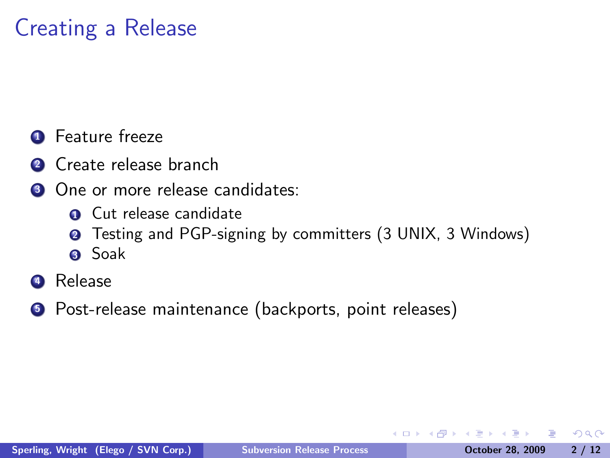# Creating a Release

- Feature freeze
- Create release branch
- One or more release candidates:
	- Cut release candidate
	- Testing and PGP-signing by committers (3 UNIX, 3 Windows)
	- Soak
- Release
- **•** Post-release maintenance (backports, point releases)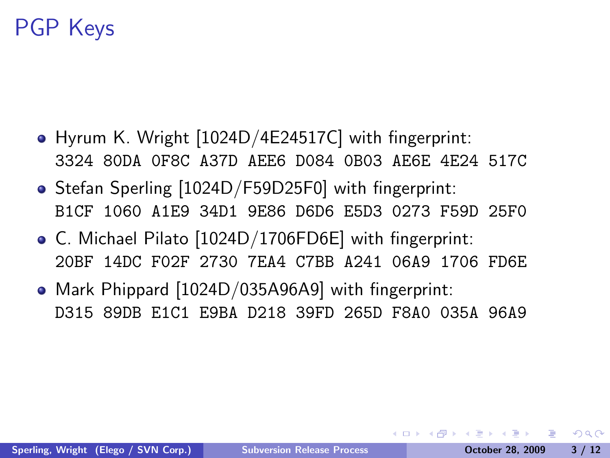# PGP Keys

- Hyrum K. Wright [1024D/4E24517C] with fingerprint: 3324 80DA 0F8C A37D AEE6 D084 0B03 AE6E 4E24 517C
- Stefan Sperling [1024D/F59D25F0] with fingerprint: B1CF 1060 A1E9 34D1 9E86 D6D6 E5D3 0273 F59D 25F0
- C. Michael Pilato [1024D/1706FD6E] with fingerprint: 20BF 14DC F02F 2730 7EA4 C7BB A241 06A9 1706 FD6E
- Mark Phippard [1024D/035A96A9] with fingerprint: D315 89DB E1C1 E9BA D218 39FD 265D F8A0 035A 96A9

 $\Omega$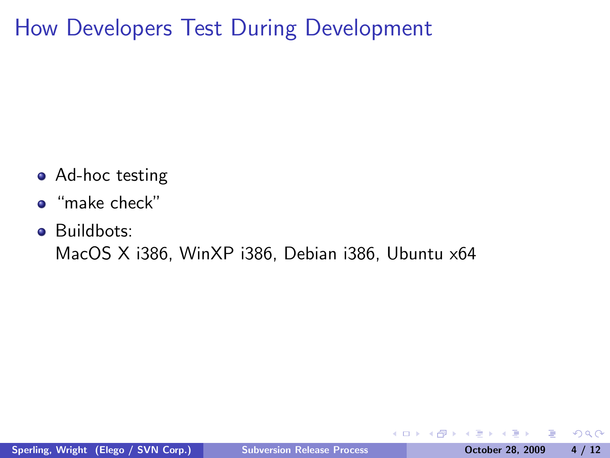How Developers Test During Development

- Ad-hoc testing
- "make check"
- Buildbots:

MacOS X i386, WinXP i386, Debian i386, Ubuntu x64

 $\leftarrow$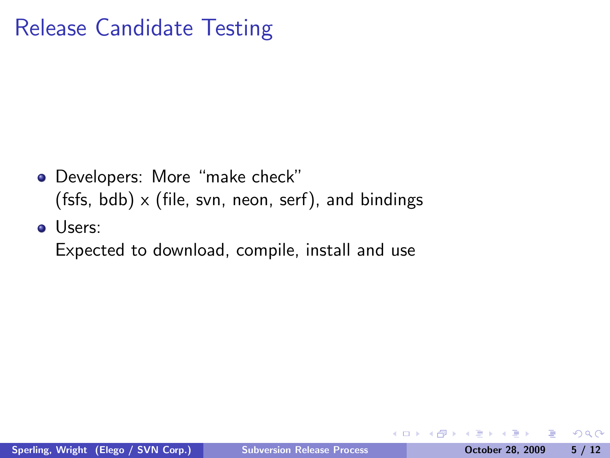# Release Candidate Testing

- Developers: More "make check" (fsfs, bdb)  $\times$  (file, svn, neon, serf), and bindings
- Users:

Expected to download, compile, install and use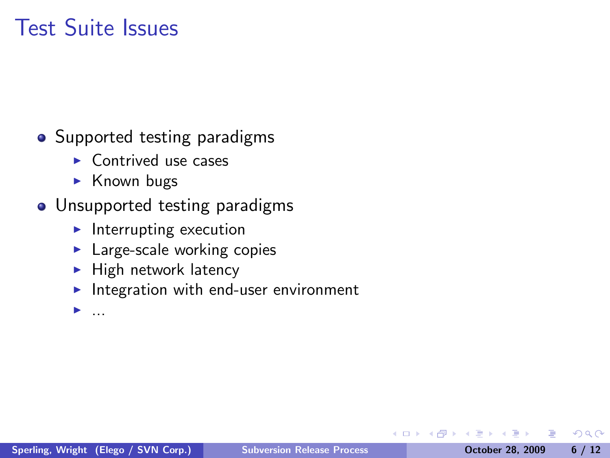# Test Suite Issues

- **•** Supported testing paradigms
	- $\blacktriangleright$  Contrived use cases
	- $\triangleright$  Known bugs
- Unsupported testing paradigms
	- $\blacktriangleright$  Interrupting execution
	- $\blacktriangleright$  Large-scale working copies
	- $\blacktriangleright$  High network latency
	- Integration with end-user environment

 $\blacktriangleright$  ...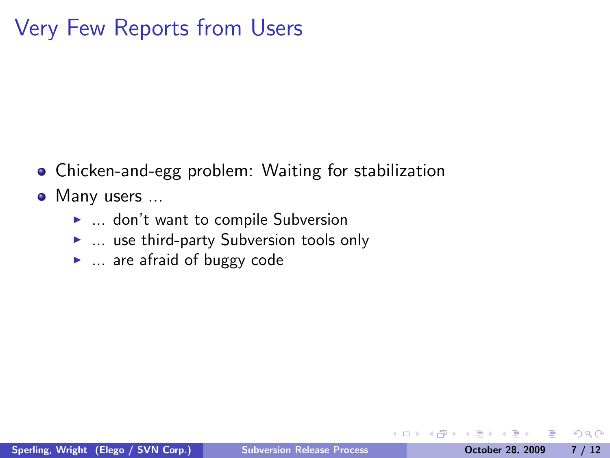# Very Few Reports from Users

- Chicken-and-egg problem: Waiting for stabilization
- Many users ...
	- $\blacktriangleright$  ... don't want to compile Subversion
	- $\blacktriangleright$  ... use third-party Subversion tools only
	- $\blacktriangleright$  ... are afraid of buggy code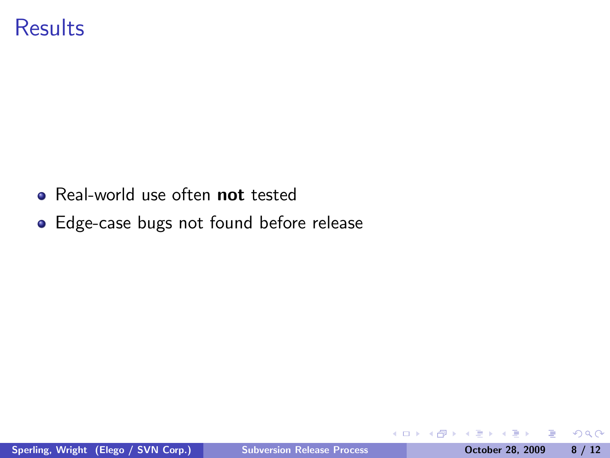### **Results**

- Real-world use often not tested
- Edge-case bugs not found before release

4日)

э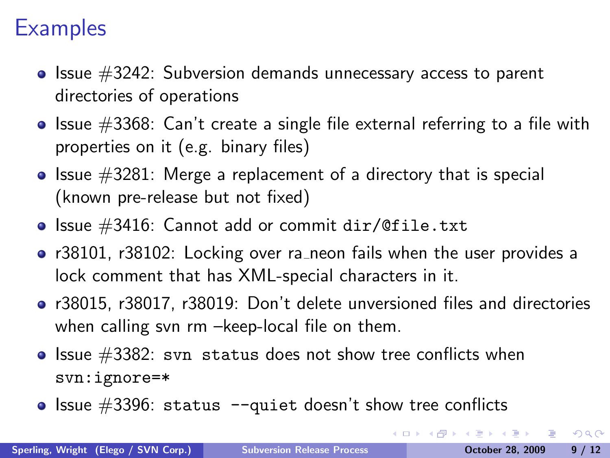# **Examples**

- $\bullet$  Issue  $\#3242$ : Subversion demands unnecessary access to parent directories of operations
- $\bullet$  Issue  $\#3368$ : Can't create a single file external referring to a file with properties on it (e.g. binary files)
- $\bullet$  Issue  $\#3281$ : Merge a replacement of a directory that is special (known pre-release but not fixed)
- $\bullet$  Issue #3416: Cannot add or commit dir/@file.txt
- r38101, r38102: Locking over ra\_neon fails when the user provides a lock comment that has XML-special characters in it.
- r38015, r38017, r38019: Don't delete unversioned files and directories when calling svn rm –keep-local file on them.
- $\bullet$  Issue #3382: svn status does not show tree conflicts when svn:ignore=\*
- $\bullet$  Issue #3396: status --quiet doesn't show tree conflicts

ERA ER EL PAQO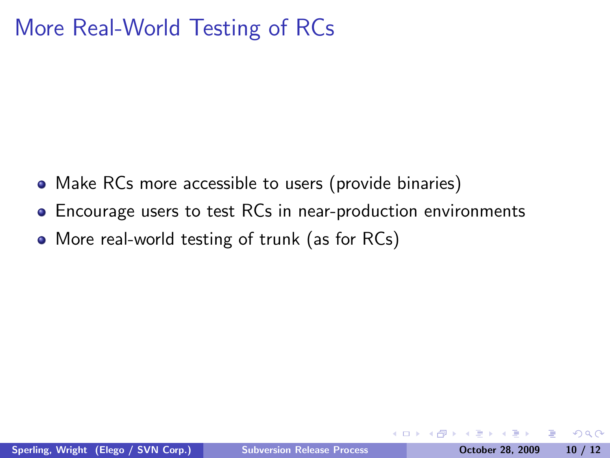# More Real-World Testing of RCs

- Make RCs more accessible to users (provide binaries)
- Encourage users to test RCs in near-production environments
- More real-world testing of trunk (as for RCs)

つくい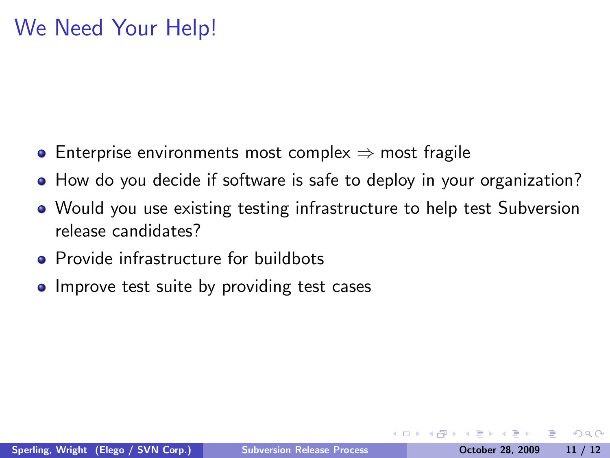# We Need Your Help!

- Enterprise environments most complex  $\Rightarrow$  most fragile
- How do you decide if software is safe to deploy in your organization?
- Would you use existing testing infrastructure to help test Subversion release candidates?
- Provide infrastructure for buildbots
- Improve test suite by providing test cases

 $\Omega$